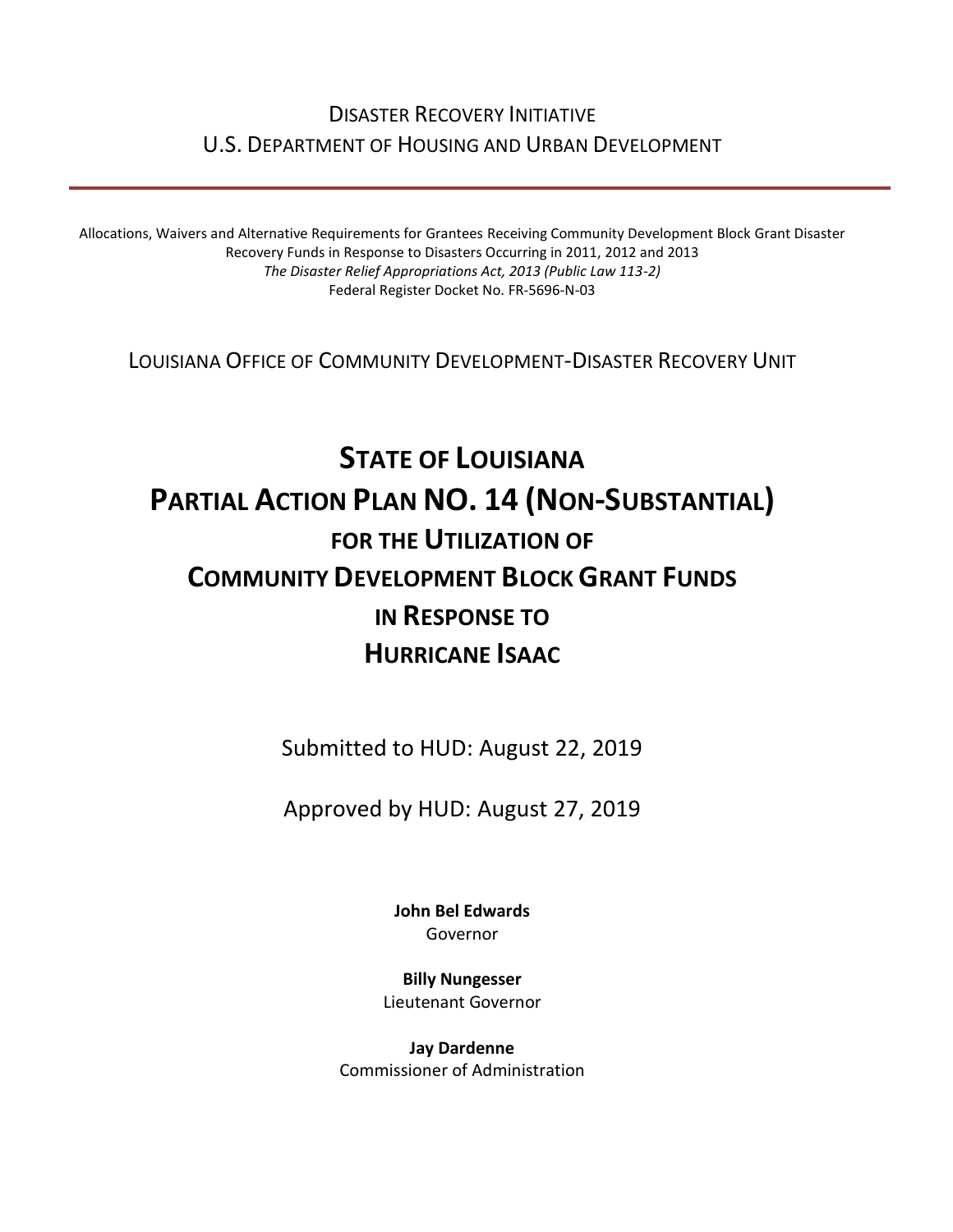# DISASTER RECOVERY INITIATIVE U.S. DEPARTMENT OF HOUSING AND URBAN DEVELOPMENT

Allocations, Waivers and Alternative Requirements for Grantees Receiving Community Development Block Grant Disaster Recovery Funds in Response to Disasters Occurring in 2011, 2012 and 2013 *The Disaster Relief Appropriations Act, 2013 (Public Law 113-2)* Federal Register Docket No. FR-5696-N-03

LOUISIANA OFFICE OF COMMUNITY DEVELOPMENT-DISASTER RECOVERY UNIT

# **STATE OF LOUISIANA PARTIAL ACTION PLAN NO. 14 (NON-SUBSTANTIAL) FOR THE UTILIZATION OF COMMUNITY DEVELOPMENT BLOCK GRANT FUNDS IN RESPONSE TO HURRICANE ISAAC**

Submitted to HUD: August 22, 2019

Approved by HUD: August 27, 2019

**[John Bel Edwards](https://www.facebook.com/LouisianaGov/)** Governor

**Billy Nungesser** Lieutenant Governor

**Jay Dardenne** Commissioner of Administration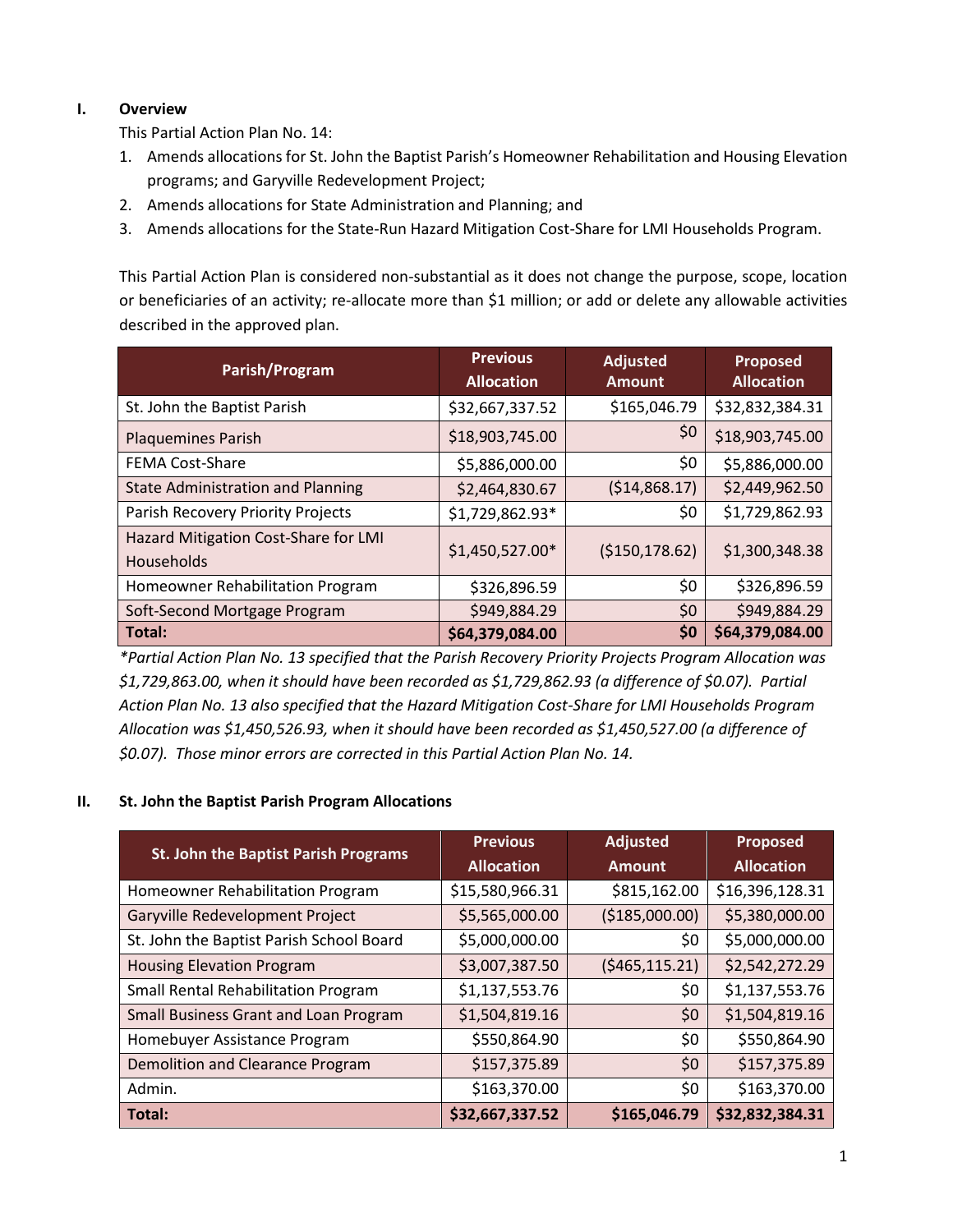# **I. Overview**

This Partial Action Plan No. 14:

- 1. Amends allocations for St. John the Baptist Parish's Homeowner Rehabilitation and Housing Elevation programs; and Garyville Redevelopment Project;
- 2. Amends allocations for State Administration and Planning; and
- 3. Amends allocations for the State-Run Hazard Mitigation Cost-Share for LMI Households Program.

This Partial Action Plan is considered non-substantial as it does not change the purpose, scope, location or beneficiaries of an activity; re-allocate more than \$1 million; or add or delete any allowable activities described in the approved plan.

| Parish/Program                                            | <b>Previous</b><br><b>Allocation</b> | <b>Adjusted</b><br><b>Amount</b> | Proposed<br><b>Allocation</b> |
|-----------------------------------------------------------|--------------------------------------|----------------------------------|-------------------------------|
| St. John the Baptist Parish                               | \$32,667,337.52                      | \$165,046.79                     | \$32,832,384.31               |
| Plaquemines Parish                                        | \$18,903,745.00                      | \$0                              | \$18,903,745.00               |
| <b>FEMA Cost-Share</b>                                    | \$5,886,000.00                       | \$0                              | \$5,886,000.00                |
| <b>State Administration and Planning</b>                  | \$2,464,830.67                       | (\$14,868.17)                    | \$2,449,962.50                |
| Parish Recovery Priority Projects                         | \$1,729,862.93*                      | \$0                              | \$1,729,862.93                |
| Hazard Mitigation Cost-Share for LMI<br><b>Households</b> | \$1,450,527.00*                      | (\$150,178.62)                   | \$1,300,348.38                |
| Homeowner Rehabilitation Program                          | \$326,896.59                         | \$0                              | \$326,896.59                  |
| Soft-Second Mortgage Program                              | \$949,884.29                         | \$0                              | \$949,884.29                  |
| Total:                                                    | \$64,379,084.00                      | \$0                              | \$64,379,084.00               |

*\*Partial Action Plan No. 13 specified that the Parish Recovery Priority Projects Program Allocation was \$1,729,863.00, when it should have been recorded as \$1,729,862.93 (a difference of \$0.07). Partial Action Plan No. 13 also specified that the Hazard Mitigation Cost-Share for LMI Households Program Allocation was \$1,450,526.93, when it should have been recorded as \$1,450,527.00 (a difference of \$0.07). Those minor errors are corrected in this Partial Action Plan No. 14.*

# **II. St. John the Baptist Parish Program Allocations**

| <b>St. John the Baptist Parish Programs</b> | <b>Previous</b>   | <b>Adjusted</b>  | <b>Proposed</b>   |
|---------------------------------------------|-------------------|------------------|-------------------|
|                                             | <b>Allocation</b> | <b>Amount</b>    | <b>Allocation</b> |
| Homeowner Rehabilitation Program            | \$15,580,966.31   | \$815,162.00     | \$16,396,128.31   |
| Garyville Redevelopment Project             | \$5,565,000.00    | ( \$185,000.00)  | \$5,380,000.00    |
| St. John the Baptist Parish School Board    | \$5,000,000.00    | \$0              | \$5,000,000.00    |
| <b>Housing Elevation Program</b>            | \$3,007,387.50    | ( \$465, 115.21) | \$2,542,272.29    |
| <b>Small Rental Rehabilitation Program</b>  | \$1,137,553.76    | \$0              | \$1,137,553.76    |
| Small Business Grant and Loan Program       | \$1,504,819.16    | \$0              | \$1,504,819.16    |
| Homebuyer Assistance Program                | \$550,864.90      | \$0              | \$550,864.90      |
| Demolition and Clearance Program            | \$157,375.89      | \$0              | \$157,375.89      |
| Admin.                                      | \$163,370.00      | \$0              | \$163,370.00      |
| Total:                                      | \$32,667,337.52   | \$165,046.79     | \$32,832,384.31   |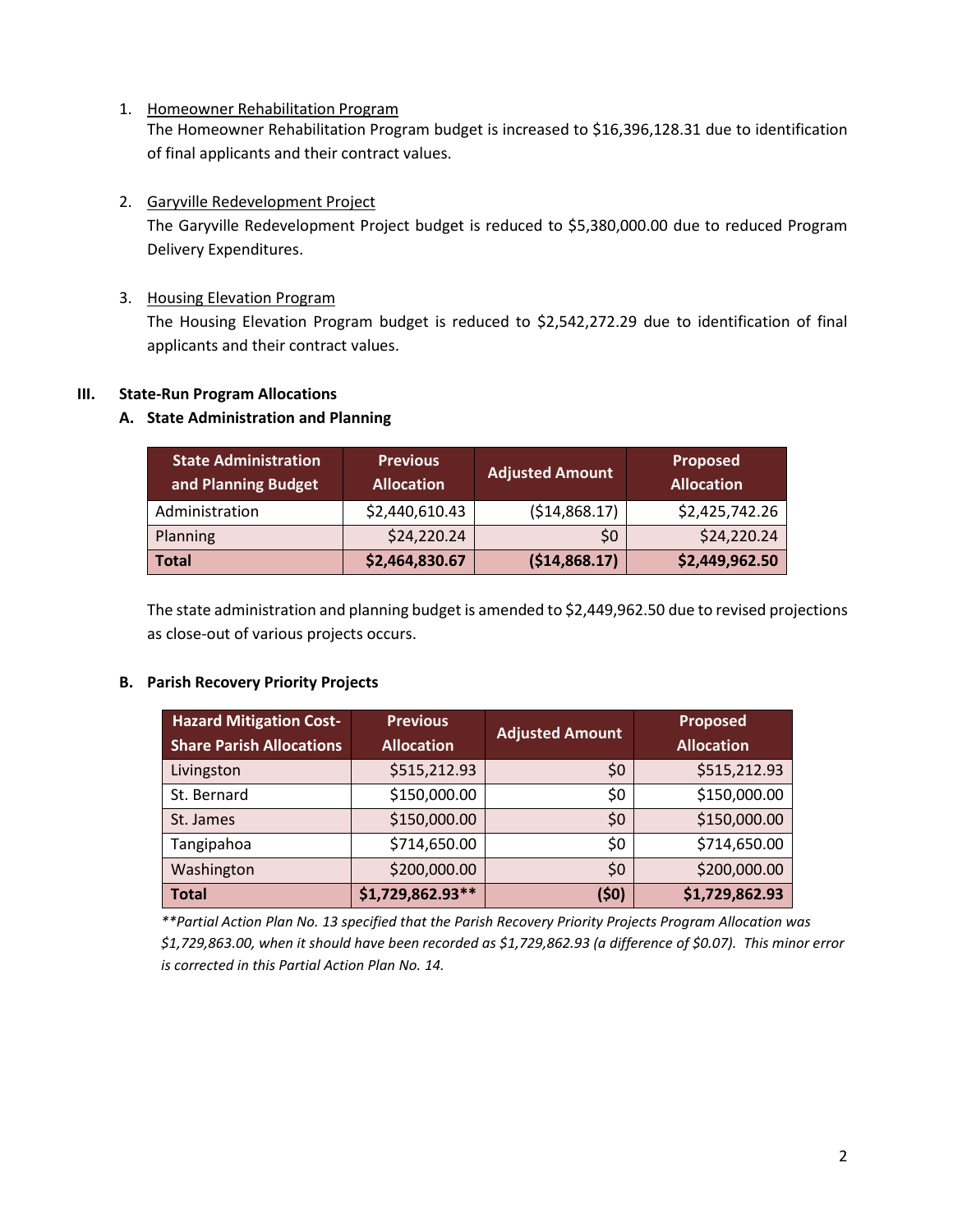1. Homeowner Rehabilitation Program The Homeowner Rehabilitation Program budget is increased to \$16,396,128.31 due to identification of final applicants and their contract values.

# 2. Garyville Redevelopment Project

The Garyville Redevelopment Project budget is reduced to \$5,380,000.00 due to reduced Program Delivery Expenditures.

3. Housing Elevation Program

The Housing Elevation Program budget is reduced to \$2,542,272.29 due to identification of final applicants and their contract values.

### **III. State-Run Program Allocations**

### **A. State Administration and Planning**

| <b>State Administration</b><br>and Planning Budget | <b>Previous</b><br><b>Allocation</b> | <b>Adjusted Amount</b> | <b>Proposed</b><br><b>Allocation</b> |
|----------------------------------------------------|--------------------------------------|------------------------|--------------------------------------|
| Administration                                     | \$2,440,610.43                       | ( \$14, 868.17)        | \$2,425,742.26                       |
| Planning                                           | \$24,220.24                          | \$0                    | \$24,220.24                          |
| <b>Total</b>                                       | \$2,464,830.67                       | (514,868.17)           | \$2,449,962.50                       |

The state administration and planning budget is amended to \$2,449,962.50 due to revised projections as close-out of various projects occurs.

#### **B. Parish Recovery Priority Projects**

| <b>Hazard Mitigation Cost-</b><br><b>Share Parish Allocations</b> | <b>Previous</b><br><b>Allocation</b> | <b>Adjusted Amount</b> | <b>Proposed</b><br><b>Allocation</b> |
|-------------------------------------------------------------------|--------------------------------------|------------------------|--------------------------------------|
| Livingston                                                        | \$515,212.93                         | \$0                    | \$515,212.93                         |
| St. Bernard                                                       | \$150,000.00                         | \$0                    | \$150,000.00                         |
| St. James                                                         | \$150,000.00                         | \$0                    | \$150,000.00                         |
| Tangipahoa                                                        | \$714,650.00                         | \$0                    | \$714,650.00                         |
| Washington                                                        | \$200,000.00                         | \$0                    | \$200,000.00                         |
| <b>Total</b>                                                      | $$1,729,862.93**$                    | (50)                   | \$1,729,862.93                       |

*\*\*Partial Action Plan No. 13 specified that the Parish Recovery Priority Projects Program Allocation was \$1,729,863.00, when it should have been recorded as \$1,729,862.93 (a difference of \$0.07). This minor error is corrected in this Partial Action Plan No. 14.*